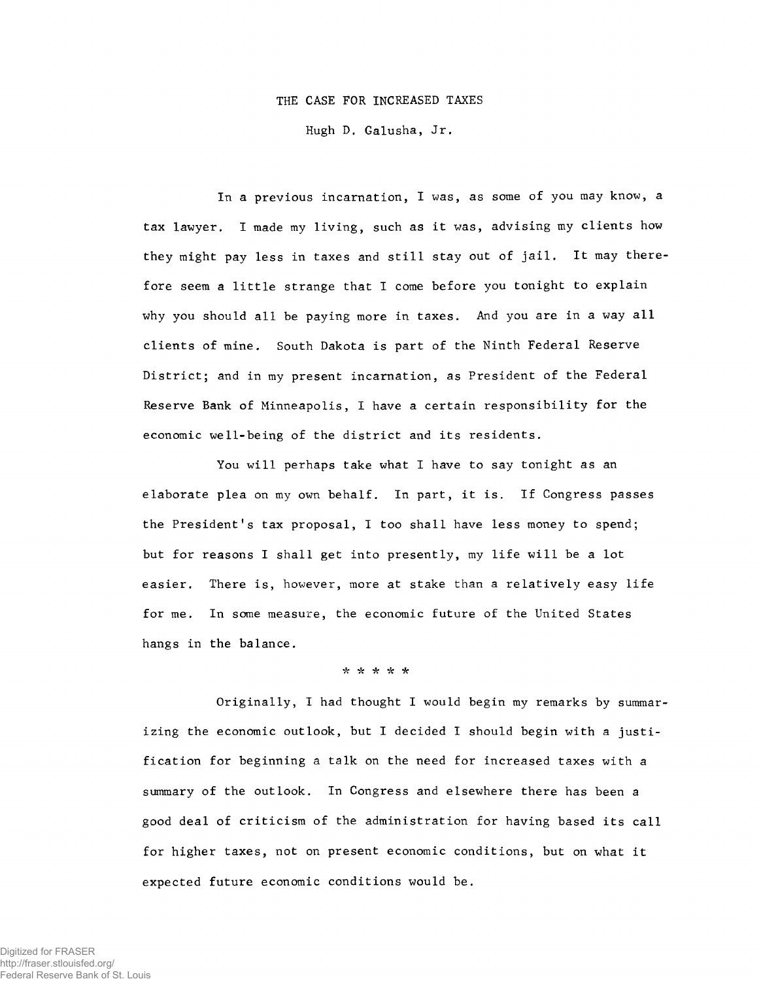### THE CASE FOR INCREASED TAXES

Hugh D. Galusha, Jr.

In a previous incarnation, I was, as some of you may know, a tax lawyer. I made my living, such as it was, advising my clients how they might pay less in taxes and still stay out of jail. It may therefore seem a little strange that I come before you tonight to explain why you should all be paying more in taxes. And you are in a way all clients of mine. South Dakota is part of the Ninth Federal Reserve District; and in my present incarnation, as President of the Federal Reserve Bank of Minneapolis, I have a certain responsibility for the economic well-being of the district and its residents.

You will perhaps take what I have to say tonight as an elaborate plea on my own behalf. In part, it is. If Congress passes the President's tax proposal, I too shall have less money to spend; but for reasons I shall get into presently, my life will be a lot easier. There is, however, more at stake than a relatively easy life for me. In some measure, the economic future of the United States hangs in the balance.

# \* \* \* \* \*

Originally, I had thought I would begin my remarks by summarizing the economic outlook, but I decided I should begin with a justification for beginning a talk on the need for increased taxes with a summary of the outlook. In Congress and elsewhere there has been a good deal of criticism of the administration for having based its call for higher taxes, not on present economic conditions, but on what it expected future economic conditions would be.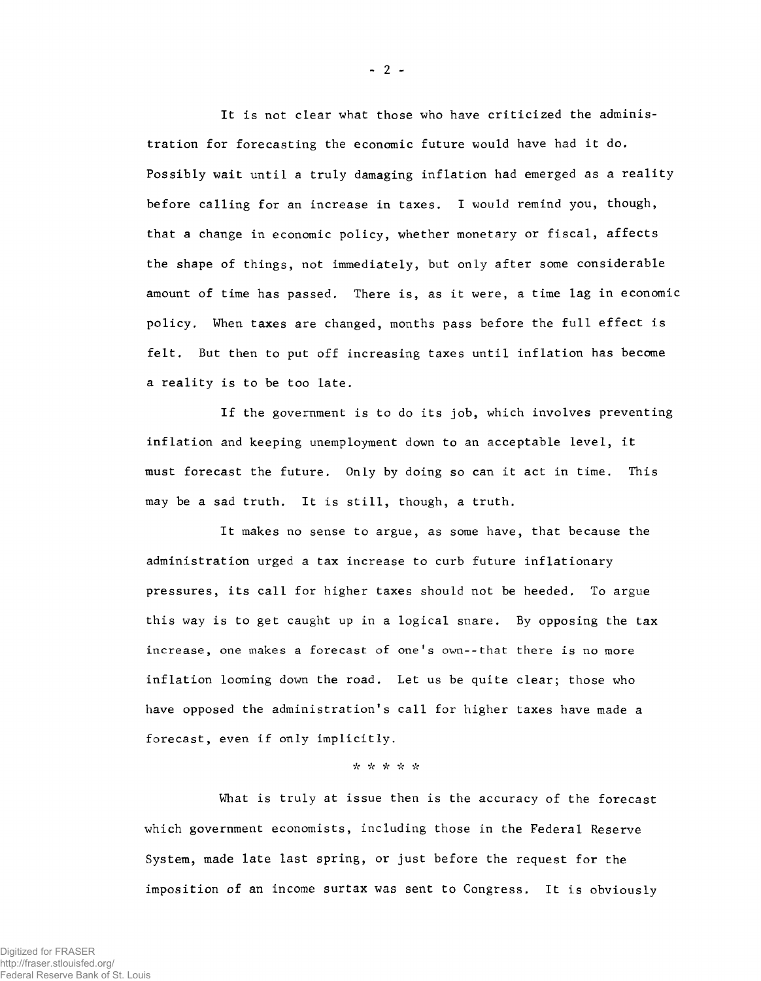It is not clear what those who have criticized the administration for forecasting the economic future would have had it do. Possibly wait until a truly damaging inflation had emerged as a reality before calling for an increase in taxes. I would remind you, though, that a change in economic policy, whether monetary or fiscal, affects the shape of things, not immediately, but only after some considerable amount of time has passed. There is, as it were, a time lag in economic policy. When taxes are changed, months pass before the full effect is felt. But then to put off increasing taxes until inflation has become a reality is to be too late.

If the government is to do its job, which involves preventing inflation and keeping unemployment down to an acceptable level, it must forecast the future. Only by doing so can it act in time. This may be a sad truth. It is still, though, a truth.

It makes no sense to argue, as some have, that because the administration urged a tax increase to curb future inflationary pressures, its call for higher taxes should not be heeded. To argue this way is to get caught up in a logical snare. By opposing the tax increase, one makes a forecast of one's own--that there is no more inflation looming down the road. Let us be quite clear; those who have opposed the administration's call for higher taxes have made a forecast, even if only implicitly.

#### \* \* \* \* \*

What is truly at issue then is the accuracy of the forecast which government economists, including those in the Federal Reserve System, made late last spring, or just before the request for the imposition of an income surtax was sent to Congress. It is obviously

**-** 2 **-**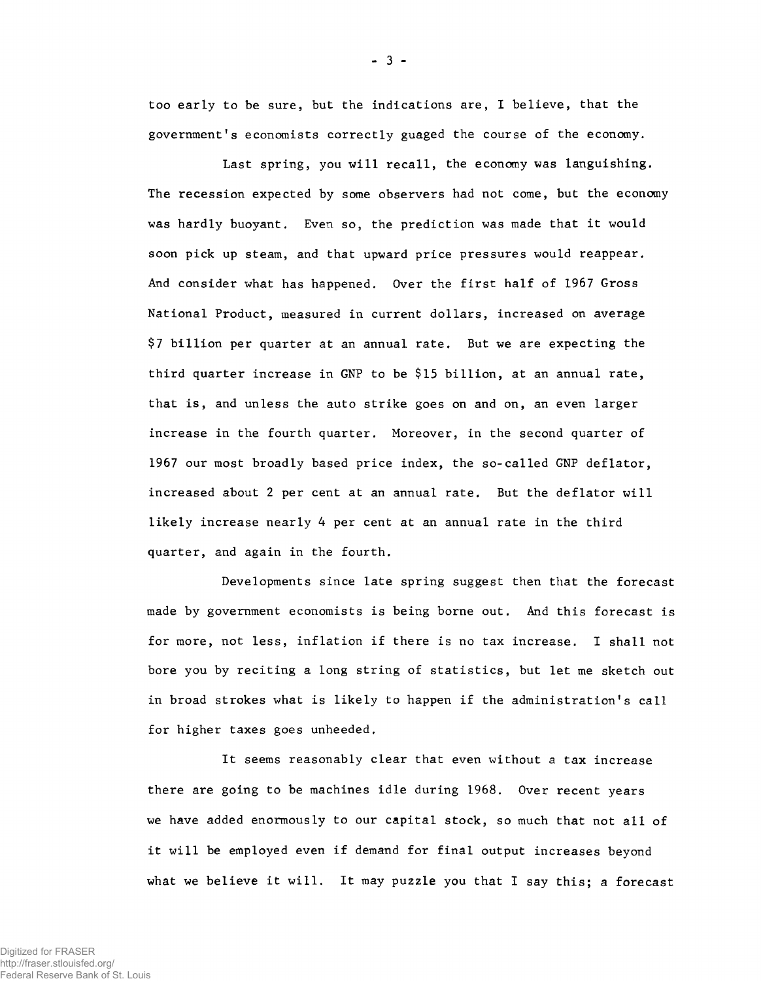too early to be sure, but the indications are, I believe, that the government's economists correctly guaged the course of the economy.

Last spring, you will recall, the economy was languishing. The recession expected by some observers had not come, but the economy was hardly buoyant. Even so, the prediction was made that it would soon pick up steam, and that upward price pressures would reappear. And consider what has happened. Over the first half of 1967 Gross National Product, measured in current dollars, increased on average \$7 billion per quarter at an annual rate. But we are expecting the third quarter increase in GNP to be \$15 billion, at an annual rate, that is, and unless the auto strike goes on and on, an even larger increase in the fourth quarter. Moreover, in the second quarter of 1967 our most broadly based price index, the so-called GNP deflator, increased about 2 per cent at an annual rate. But the deflator will likely increase nearly 4 per cent at an annual rate in the third quarter, and again in the fourth.

Developments since late spring suggest then that the forecast m ade by government economists is being borne out. And this forecast is for more, not less, inflation if there is no tax increase. I shall not bore you by reciting a long string of statistics, but let me sketch out in broad strokes what is likely to happen if the administration's call for higher taxes goes unheeded.

It seems reasonably clear that even without a tax increase there are going to be machines idle during 1968. Over recent years we have added enormously to our capital stock, so much that not all of it will be employed even if demand for final output increases beyond what we believe it will. It may puzzle you that I say this; a forecast

**-** 3 **-**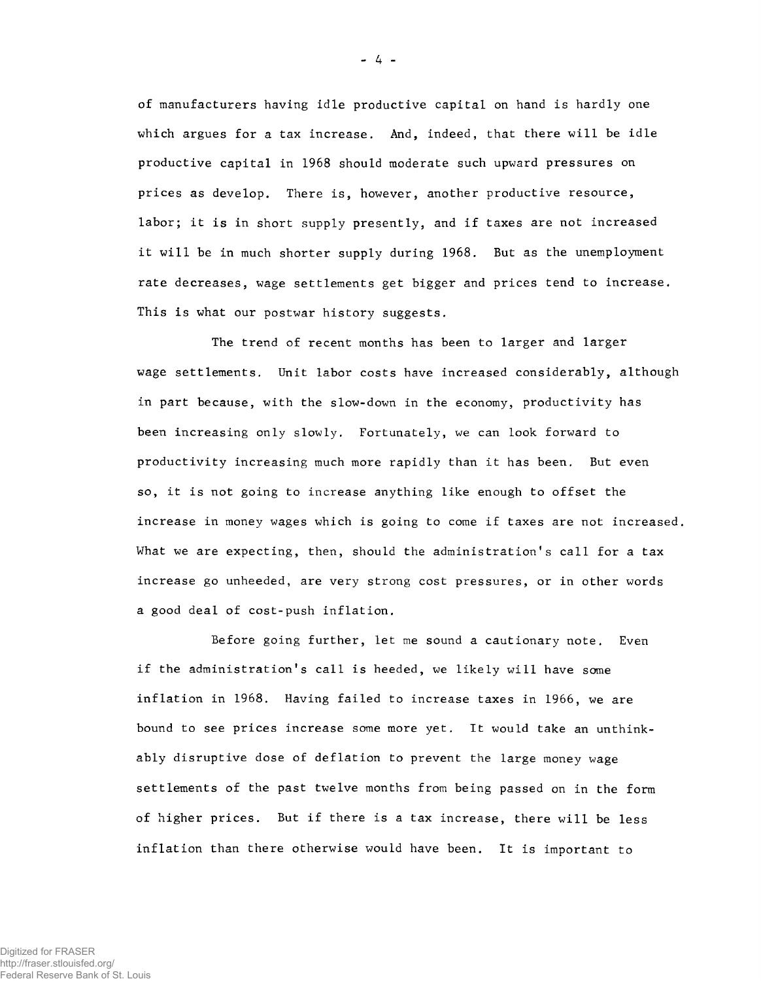of manufacturers having idle productive capital on hand is hardly one which argues for a tax increase. And, indeed, that there will be idle productive capital in 1968 should moderate such upward pressures on prices as develop. There is, however, another productive resource, labor; it is in short supply presently, and if taxes are not increased it will be in much shorter supply during 1968. But as the unemployment rate decreases, wage settlements get bigger and prices tend to increase. This is what our postwar history suggests.

The trend of recent months has been to larger and larger wage settlements. Unit labor costs have increased considerably, although in part because, with the slow-down in the economy, productivity has been increasing only slowly. Fortunately, we can look forward to productivity increasing much more rapidly than it has been. But even so, it is not going to increase anything like enough to offset the increase in money wages which is going to come if taxes are not increased. What we are expecting, then, should the administration's call for a tax increase go unheeded, are very strong cost pressures, or in other words a good deal of cost-push inflation.

Before going further, let me sound a cautionary note. Even if the administration's call is heeded, we likely will have some inflation in 1968. Having failed to increase taxes in 1966, we are bound to see prices increase some more yet. It would take an unthinkably disruptive dose of deflation to prevent the large money wage settlements of the past twelve months from being passed on in the form of higher prices. But if there is a tax increase, there will be less inflation than there otherwise would have been. It is important to

- **4** -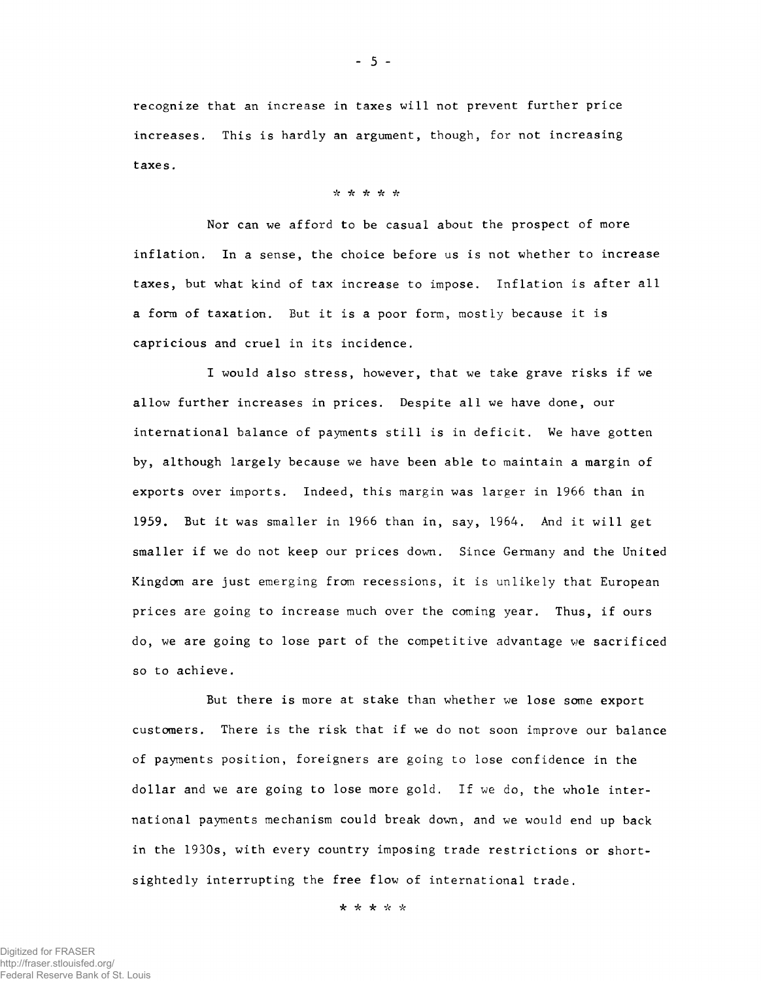recognize that an increase in taxes will not prevent further price increases. This is hardly an argument, though, for not increasing taxes.

## *4c 4c 4c 4c* \*

Nor can we afford to be casual about the prospect of more inflation. In a sense, the choice before us is not whether to increase taxes, but what kind of tax increase to impose. Inflation is after all a form of taxation. But it is a poor form, mostly because it is capricious and cruel in its incidence.

I would also stress, however, that we take grave risks if we allow further increases in prices. Despite all we have done, our international balance of payments still is in deficit. We have gotten by, although largely because we have been able to maintain a margin of exports over imports. Indeed, this margin was larger in 1966 than in 1959. But it was smaller in 1966 than in, say, 1964. And it will get smaller if we do not keep our prices down. Since Germany and the United Kingdom are just emerging from recessions, it is unlikely that European prices are going to increase much over the coming year. Thus, if ours do, we are going to lose part of the competitive advantage we sacrificed so to achieve.

But there is more at stake than whether we lose some export customers. There is the risk that if we do not soon improve our balance of payments position, foreigners are going to lose confidence in the dollar and we are going to lose more gold. If we do, the whole international payments mechanism could break down, and we would end up back in the 1930s, with every country imposing trade restrictions or shortsightedly interrupting the free flow of international trade.

*k 4c k 4c 4c*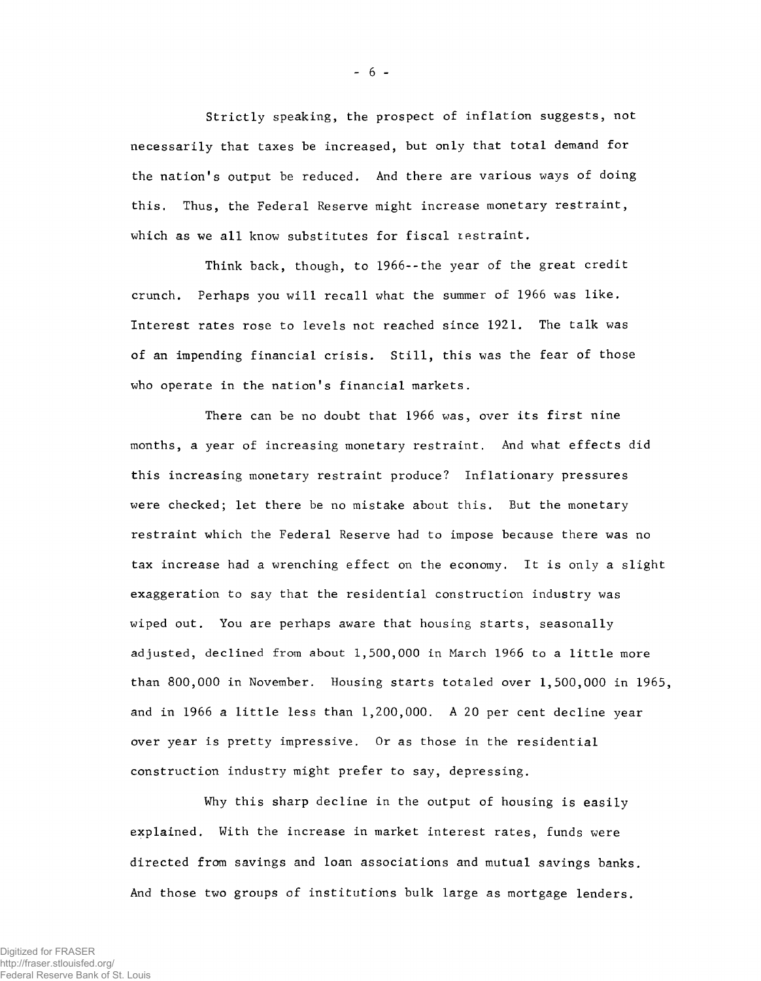Strictly speaking, the prospect of inflation suggests, not necessarily that taxes be increased, but only that total demand for the nation's output be reduced. And there are various ways of doing this. Thus, the Federal Reserve might increase monetary restraint, which as we all know substitutes for fiscal restraint.

Think back, though, to 1966--the year of the great credit crunch. Perhaps you will recall what the summer of 1966 was like. Interest rates rose to levels not reached since 1921. The talk was of an impending financial crisis. Still, this was the fear of those who operate in the nation's financial markets.

There can be no doubt that 1966 was, over its first nine months, a year of increasing monetary restraint. And what effects did this increasing monetary restraint produce? Inflationary pressures were checked; let there be no mistake about this. But the monetary restraint which the Federal Reserve had to impose because there was no tax increase had a wrenching effect on the economy. It is only a slight exaggeration to say that the residential construction industry was wiped out. You are perhaps aware that housing starts, seasonally adjusted, declined from about 1,500,000 in March 1966 to a little more than 800,000 in November. Housing starts totaled over 1,500,000 in 1965, and in 1966 a little less than 1,200,000. A 20 per cent decline year over year is pretty impressive. Or as those in the residential construction industry might prefer to say, depressing.

Why this sharp decline in the output of housing is easily explained. With the increase in market interest rates, funds were directed from savings and loan associations and mutual savings banks. And those two groups of institutions bulk large as mortgage lenders.

- 6 -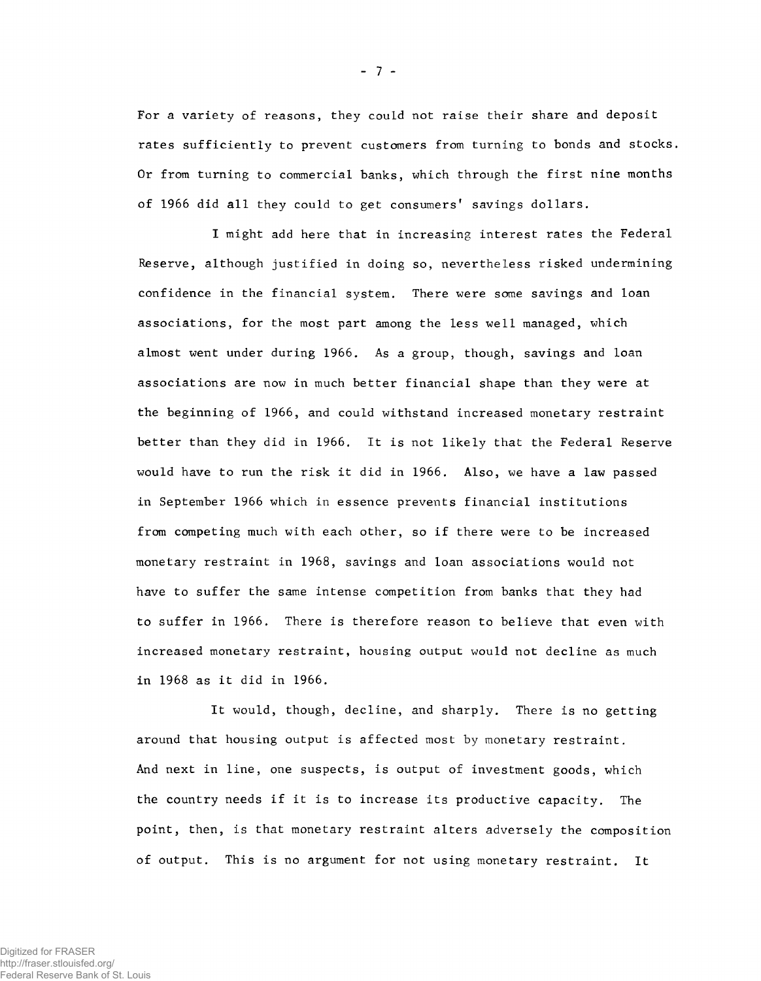For a variety of reasons, they could not raise their share and deposit rates sufficiently to prevent customers from turning to bonds and stocks. Or from turning to commercial banks, which through the first nine months of 1966 did all they could to get consumers' savings dollars.

I might add here that in increasing interest rates the Federal Reserve, although justified in doing so, nevertheless risked undermining confidence in the financial system. There were some savings and loan associations, for the most part among the less well managed, which almost went under during 1966. As a group, though, savings and loan associations are now in much better financial shape than they were at the beginning of 1966, and could withstand increased monetary restraint better than they did in 1966. It is not likely that the Federal Reserve would have to run the risk it did in 1966. Also, we have a law passed in September 1966 which in essence prevents financial institutions from competing much with each other, so if there were to be increased monetary restraint in 1968, savings and loan associations would not have to suffer the same intense competition from banks that they had to suffer in 1966. There is therefore reason to believe that even with increased monetary restraint, housing output would not decline as much in 1968 as it did in 1966.

It would, though, decline, and sharply. There is no getting around that housing output is affected most by monetary restraint. And next in line, one suspects, is output of investment goods, which the country needs if it is to increase its productive capacity. The point, then, is that monetary restraint alters adversely the composition of output. This is no argument for not using monetary restraint. It

- **7** -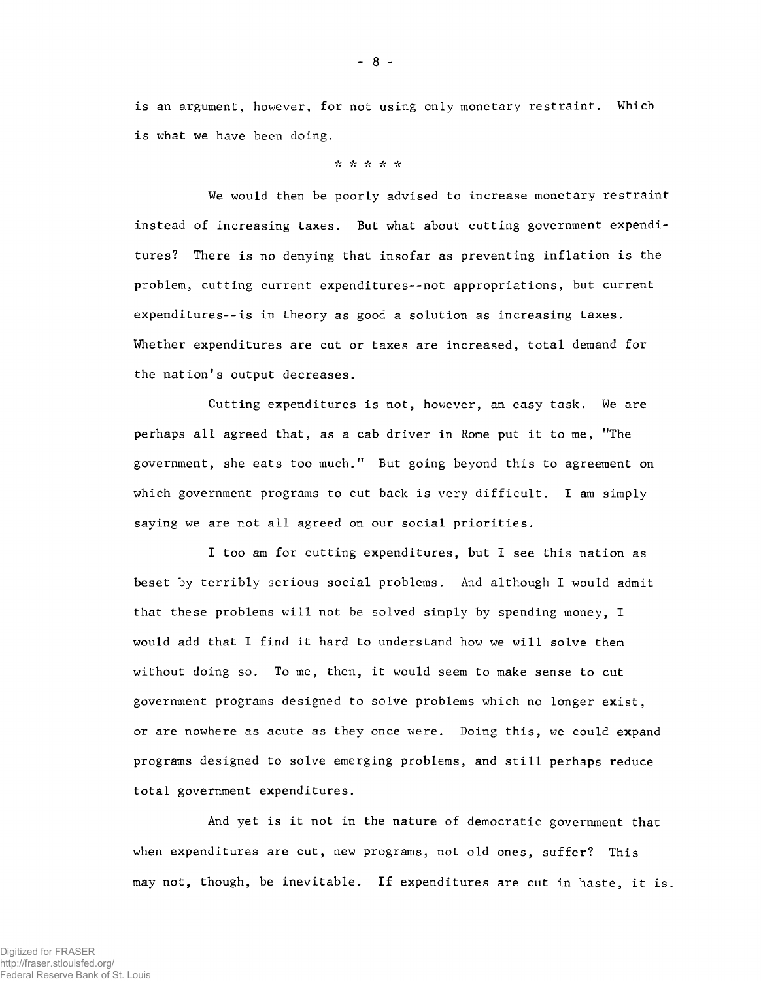is an argument, however, for not using only monetary restraint. Which is what we have been doing.

## ■>V \* *"k •k* Vc\*

We would then be poorly advised to increase monetary restraint instead of increasing taxes. But what about cutting government expenditures? There is no denying that insofar as preventing inflation is the problem, cutting current expenditures--not appropriations, but current expenditures--is in theory as good a solution as increasing taxes. Whether expenditures are cut or taxes are increased, total demand for the nation's output decreases.

Cutting expenditures is not, however, an easy task. We are perhaps all agreed that, as a cab driver in Rome put it to me, "The government, she eats too much." But going beyond this to agreement on which government programs to cut back is very difficult. I am simply saying we are not all agreed on our social priorities.

I too am for cutting expenditures, but I see this nation as beset by terribly serious social problems. And although I would admit that these problems will not be solved simply by spending money, I would add that I find it hard to understand how we will solve them without doing so. To me, then, it would seem to make sense to cut government programs designed to solve problems which no longer exist, or are nowhere as acute as they once were. Doing this, we could expand programs designed to solve emerging problems, and still perhaps reduce total government expenditures.

And yet is it not in the nature of democratic government that when expenditures are cut, new programs, not old ones, suffer? This may not, though, be inevitable. If expenditures are cut in haste, it is.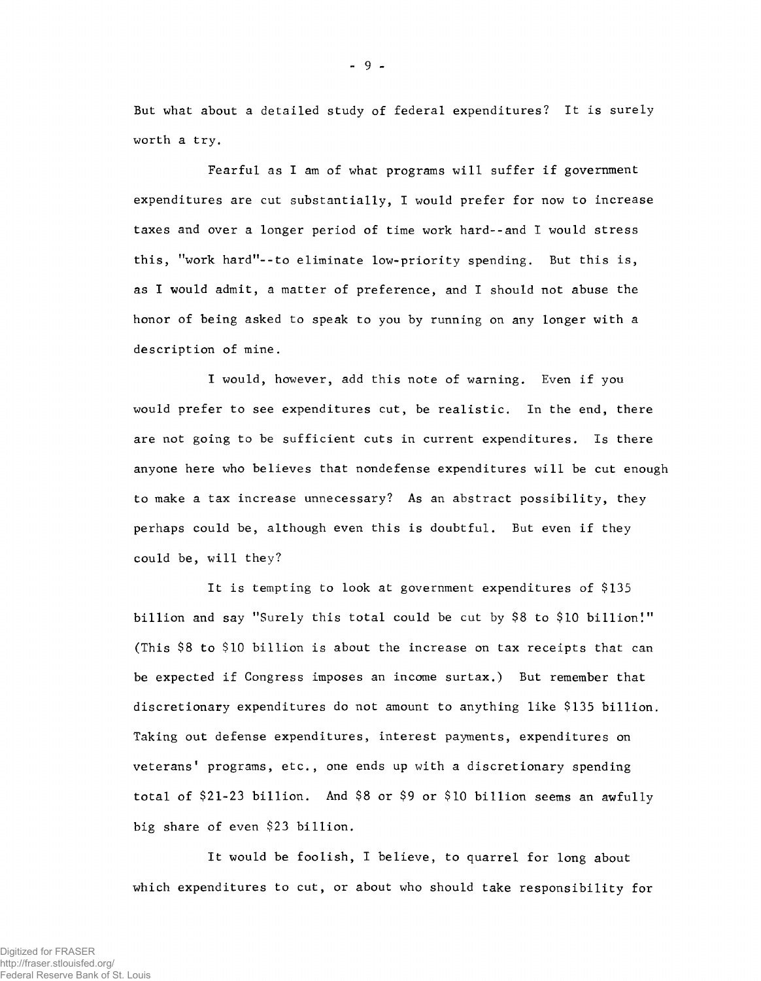But what about a detailed study of federal expenditures? It is surely worth a try.

Fearful as I am of what programs will suffer if government expenditures are cut substantially, I would prefer for now to increase taxes and over a longer period of time work hard--and I would stress this, "work hard"--to eliminate low-priority spending. But this is, as I would admit, a matter of preference, and I should not abuse the honor of being asked to speak to you by running on any longer with a description of mine.

I would, however, add this note of warning. Even if you would prefer to see expenditures cut, be realistic. In the end, there are not going to be sufficient cuts in current expenditures. Is there anyone here who believes that nondefense expenditures will be cut enough to make a tax increase unnecessary? As an abstract possibility, they perhaps could be, although even this is doubtful. But even if they could be, will they?

It is tempting to look at government expenditures of \$135 billion and say "Surely this total could be cut by \$8 to \$10 billion!" (This \$8 to \$10 billion is about the increase on tax receipts that can be expected if Congress imposes an income surtax.) But remember that discretionary expenditures do not amount to anything like \$135 billion. Taking out defense expenditures, interest payments, expenditures on veterans' programs, etc., one ends up with a discretionary spending total of \$21-23 billion. And \$8 or \$9 or \$10 billion seems an awfully big share of even \$23 billion.

It would be foolish, I believe, to quarrel for long about which expenditures to cut, or about who should take responsibility for